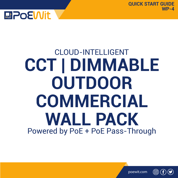

# CLOUD-INTELLIGENT Powered by PoE + PoE Pass-Through **CCT | DIMMABLE OUTDOOR COMMERCIAL WALL PACK**

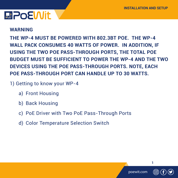#### **WARNING**

**THE WP-4 MUST BE POWERED WITH 802.3BT POE. THE WP-4 WALL PACK CONSUMES 40 WATTS OF POWER. IN ADDITION, IF USING THE TWO POE PASS-THROUGH PORTS, THE TOTAL POE BUDGET MUST BE SUFFICIENT TO POWER THE WP-4 AND THE TWO DEVICES USING THE POE PASS-THROUGH PORTS. NOTE, EACH POE PASS-THROUGH PORT CAN HANDLE UP TO 30 WATTS.** 

- 1) Getting to know your WP-4
	- a) Front Housing
	- b) Back Housing
	- c) PoE Driver with Two PoE Pass-Through Ports
	- d) Color Temperature Selection Switch

poewit.com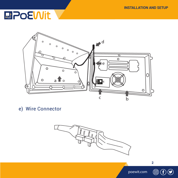

e) Wire Connector



poewit.com

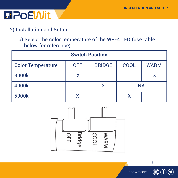

### 2) Installation and Setup

a) Select the color temperature of the WP-4 LED (use table below for reference).

| <b>Switch Position</b>   |            |               |             |             |
|--------------------------|------------|---------------|-------------|-------------|
| <b>Color Temperature</b> | <b>OFF</b> | <b>BRIDGE</b> | <b>COOL</b> | <b>WARM</b> |
| 3000k                    |            |               |             |             |
| 4000k                    |            |               | <b>NA</b>   |             |
| 5000k                    |            |               | x           |             |



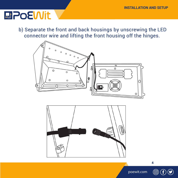b) Separate the front and back housings by unscrewing the LED connector wire and lifting the front housing off the hinges.





poewit.com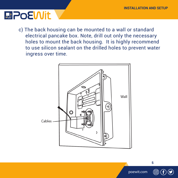### **MPOEWIt**

c) The back housing can be mounted to a wall or standard electrical pancake box. Note, drill out only the necessary holes to mount the back housing. It is highly recommend to use silicon sealant on the drilled holes to prevent water ingress over time.



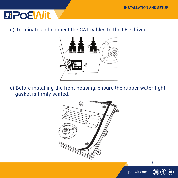## **MPOEWIt**

#### d) Terminate and connect the CAT cables to the LED driver.



e) Before installing the front housing, ensure the rubber water tight gasket is firmly seated.



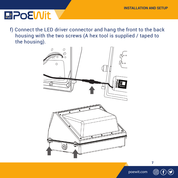# **MPOEWIt**

f) Connect the LED driver connector and hang the front to the back housing with the two screws (A hex tool is supplied / taped to the housing).